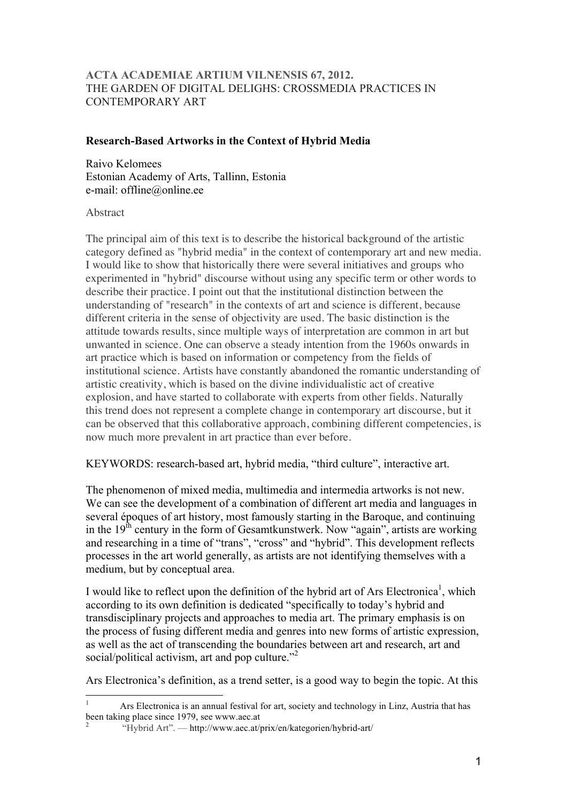### **ACTA ACADEMIAE ARTIUM VILNENSIS 67, 2012.**  THE GARDEN OF DIGITAL DELIGHS: CROSSMEDIA PRACTICES IN CONTEMPORARY ART

### **Research-Based Artworks in the Context of Hybrid Media**

Raivo Kelomees Estonian Academy of Arts, Tallinn, Estonia e-mail: offline@online.ee

### Abstract

The principal aim of this text is to describe the historical background of the artistic category defined as "hybrid media" in the context of contemporary art and new media. I would like to show that historically there were several initiatives and groups who experimented in "hybrid" discourse without using any specific term or other words to describe their practice. I point out that the institutional distinction between the understanding of "research" in the contexts of art and science is different, because different criteria in the sense of objectivity are used. The basic distinction is the attitude towards results, since multiple ways of interpretation are common in art but unwanted in science. One can observe a steady intention from the 1960s onwards in art practice which is based on information or competency from the fields of institutional science. Artists have constantly abandoned the romantic understanding of artistic creativity, which is based on the divine individualistic act of creative explosion, and have started to collaborate with experts from other fields. Naturally this trend does not represent a complete change in contemporary art discourse, but it can be observed that this collaborative approach, combining different competencies, is now much more prevalent in art practice than ever before.

KEYWORDS: research-based art, hybrid media, "third culture", interactive art.

The phenomenon of mixed media, multimedia and intermedia artworks is not new. We can see the development of a combination of different art media and languages in several époques of art history, most famously starting in the Baroque, and continuing in the 19<sup>th</sup> century in the form of Gesamtkunstwerk. Now "again", artists are working and researching in a time of "trans", "cross" and "hybrid". This development reflects processes in the art world generally, as artists are not identifying themselves with a medium, but by conceptual area.

I would like to reflect upon the definition of the hybrid art of Ars Electronica<sup>1</sup>, which according to its own definition is dedicated "specifically to today's hybrid and transdisciplinary projects and approaches to media art. The primary emphasis is on the process of fusing different media and genres into new forms of artistic expression, as well as the act of transcending the boundaries between art and research, art and social/political activism, art and pop culture."<sup>2</sup>

Ars Electronica's definition, as a trend setter, is a good way to begin the topic. At this

<sup>1</sup> Ars Electronica is an annual festival for art, society and technology in Linz, Austria that has been taking place since 1979, see www.aec.at

<sup>2</sup> "Hybrid Art". — http://www.aec.at/prix/en/kategorien/hybrid-art/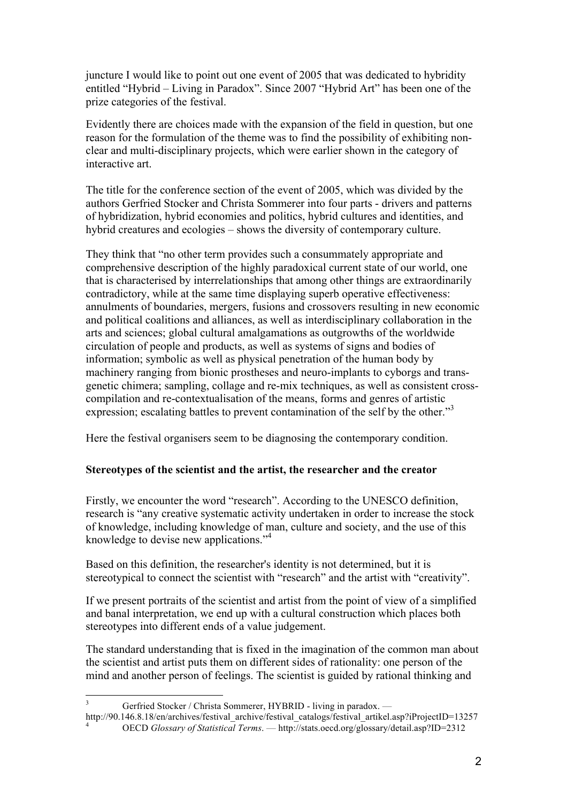juncture I would like to point out one event of 2005 that was dedicated to hybridity entitled "Hybrid – Living in Paradox". Since 2007 "Hybrid Art" has been one of the prize categories of the festival.

Evidently there are choices made with the expansion of the field in question, but one reason for the formulation of the theme was to find the possibility of exhibiting nonclear and multi-disciplinary projects, which were earlier shown in the category of interactive art.

The title for the conference section of the event of 2005, which was divided by the authors Gerfried Stocker and Christa Sommerer into four parts - drivers and patterns of hybridization, hybrid economies and politics, hybrid cultures and identities, and hybrid creatures and ecologies – shows the diversity of contemporary culture.

They think that "no other term provides such a consummately appropriate and comprehensive description of the highly paradoxical current state of our world, one that is characterised by interrelationships that among other things are extraordinarily contradictory, while at the same time displaying superb operative effectiveness: annulments of boundaries, mergers, fusions and crossovers resulting in new economic and political coalitions and alliances, as well as interdisciplinary collaboration in the arts and sciences; global cultural amalgamations as outgrowths of the worldwide circulation of people and products, as well as systems of signs and bodies of information; symbolic as well as physical penetration of the human body by machinery ranging from bionic prostheses and neuro-implants to cyborgs and transgenetic chimera; sampling, collage and re-mix techniques, as well as consistent crosscompilation and re-contextualisation of the means, forms and genres of artistic expression; escalating battles to prevent contamination of the self by the other."<sup>3</sup>

Here the festival organisers seem to be diagnosing the contemporary condition.

### **Stereotypes of the scientist and the artist, the researcher and the creator**

Firstly, we encounter the word "research". According to the UNESCO definition, research is "any creative systematic activity undertaken in order to increase the stock of knowledge, including knowledge of man, culture and society, and the use of this knowledge to devise new applications."<sup>4</sup>

Based on this definition, the researcher's identity is not determined, but it is stereotypical to connect the scientist with "research" and the artist with "creativity".

If we present portraits of the scientist and artist from the point of view of a simplified and banal interpretation, we end up with a cultural construction which places both stereotypes into different ends of a value judgement.

The standard understanding that is fixed in the imagination of the common man about the scientist and artist puts them on different sides of rationality: one person of the mind and another person of feelings. The scientist is guided by rational thinking and

<sup>&</sup>lt;sup>3</sup> Gerfried Stocker / Christa Sommerer, HYBRID - living in paradox. — http://90.146.8.18/en/archives/festival archive/festival catalogs/festival artikel.asp?iProjectID=13257 OECD *Glossary of Statistical Terms*. — http://stats.oecd.org/glossary/detail.asp?ID=2312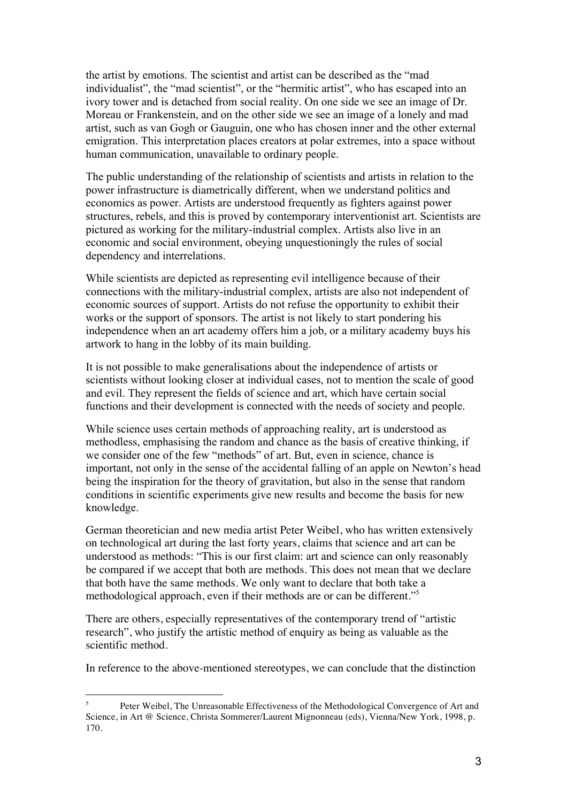the artist by emotions. The scientist and artist can be described as the "mad individualist", the "mad scientist", or the "hermitic artist", who has escaped into an ivory tower and is detached from social reality. On one side we see an image of Dr. Moreau or Frankenstein, and on the other side we see an image of a lonely and mad artist, such as van Gogh or Gauguin, one who has chosen inner and the other external emigration. This interpretation places creators at polar extremes, into a space without human communication, unavailable to ordinary people.

The public understanding of the relationship of scientists and artists in relation to the power infrastructure is diametrically different, when we understand politics and economics as power. Artists are understood frequently as fighters against power structures, rebels, and this is proved by contemporary interventionist art. Scientists are pictured as working for the military-industrial complex. Artists also live in an economic and social environment, obeying unquestioningly the rules of social dependency and interrelations.

While scientists are depicted as representing evil intelligence because of their connections with the military-industrial complex, artists are also not independent of economic sources of support. Artists do not refuse the opportunity to exhibit their works or the support of sponsors. The artist is not likely to start pondering his independence when an art academy offers him a job, or a military academy buys his artwork to hang in the lobby of its main building.

It is not possible to make generalisations about the independence of artists or scientists without looking closer at individual cases, not to mention the scale of good and evil. They represent the fields of science and art, which have certain social functions and their development is connected with the needs of society and people.

While science uses certain methods of approaching reality, art is understood as methodless, emphasising the random and chance as the basis of creative thinking, if we consider one of the few "methods" of art. But, even in science, chance is important, not only in the sense of the accidental falling of an apple on Newton's head being the inspiration for the theory of gravitation, but also in the sense that random conditions in scientific experiments give new results and become the basis for new knowledge.

German theoretician and new media artist Peter Weibel, who has written extensively on technological art during the last forty years, claims that science and art can be understood as methods: "This is our first claim: art and science can only reasonably be compared if we accept that both are methods. This does not mean that we declare that both have the same methods. We only want to declare that both take a methodological approach, even if their methods are or can be different."<sup>5</sup>

There are others, especially representatives of the contemporary trend of "artistic research", who justify the artistic method of enquiry as being as valuable as the scientific method.

 $\overline{a}$ 

In reference to the above-mentioned stereotypes, we can conclude that the distinction

<sup>5</sup> Peter Weibel, The Unreasonable Effectiveness of the Methodological Convergence of Art and Science, in Art @ Science, Christa Sommerer/Laurent Mignonneau (eds), Vienna/New York, 1998, p. 170.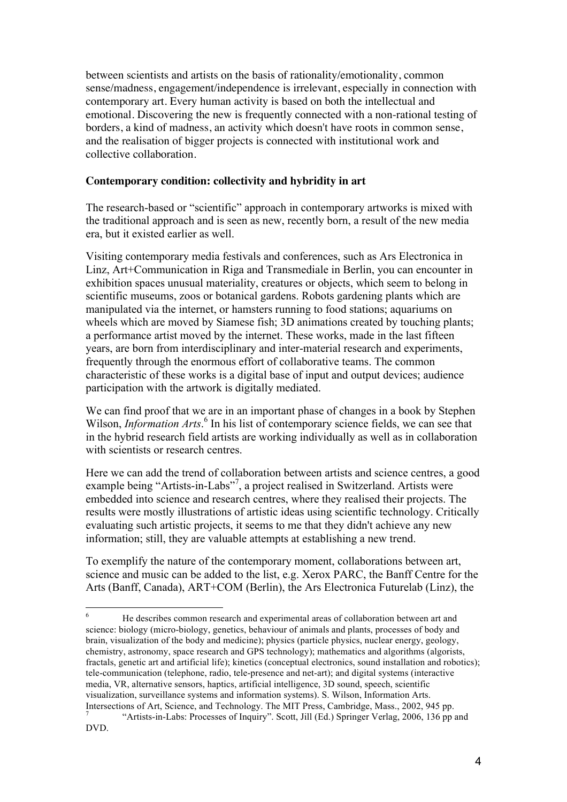between scientists and artists on the basis of rationality/emotionality, common sense/madness, engagement/independence is irrelevant, especially in connection with contemporary art. Every human activity is based on both the intellectual and emotional. Discovering the new is frequently connected with a non-rational testing of borders, a kind of madness, an activity which doesn't have roots in common sense, and the realisation of bigger projects is connected with institutional work and collective collaboration.

### **Contemporary condition: collectivity and hybridity in art**

The research-based or "scientific" approach in contemporary artworks is mixed with the traditional approach and is seen as new, recently born, a result of the new media era, but it existed earlier as well.

Visiting contemporary media festivals and conferences, such as Ars Electronica in Linz, Art+Communication in Riga and Transmediale in Berlin, you can encounter in exhibition spaces unusual materiality, creatures or objects, which seem to belong in scientific museums, zoos or botanical gardens. Robots gardening plants which are manipulated via the internet, or hamsters running to food stations; aquariums on wheels which are moved by Siamese fish; 3D animations created by touching plants; a performance artist moved by the internet. These works, made in the last fifteen years, are born from interdisciplinary and inter-material research and experiments, frequently through the enormous effort of collaborative teams. The common characteristic of these works is a digital base of input and output devices; audience participation with the artwork is digitally mediated.

We can find proof that we are in an important phase of changes in a book by Stephen Wilson, *Information Arts*.<sup>6</sup> In his list of contemporary science fields, we can see that in the hybrid research field artists are working individually as well as in collaboration with scientists or research centres.

Here we can add the trend of collaboration between artists and science centres, a good example being "Artists-in-Labs"<sup>7</sup>, a project realised in Switzerland. Artists were embedded into science and research centres, where they realised their projects. The results were mostly illustrations of artistic ideas using scientific technology. Critically evaluating such artistic projects, it seems to me that they didn't achieve any new information; still, they are valuable attempts at establishing a new trend.

To exemplify the nature of the contemporary moment, collaborations between art, science and music can be added to the list, e.g. Xerox PARC, the Banff Centre for the Arts (Banff, Canada), ART+COM (Berlin), the Ars Electronica Futurelab (Linz), the

<sup>6</sup> He describes common research and experimental areas of collaboration between art and science: biology (micro-biology, genetics, behaviour of animals and plants, processes of body and brain, visualization of the body and medicine); physics (particle physics, nuclear energy, geology, chemistry, astronomy, space research and GPS technology); mathematics and algorithms (algorists, fractals, genetic art and artificial life); kinetics (conceptual electronics, sound installation and robotics); tele-communication (telephone, radio, tele-presence and net-art); and digital systems (interactive media, VR, alternative sensors, haptics, artificial intelligence, 3D sound, speech, scientific visualization, surveillance systems and information systems). S. Wilson, Information Arts. Intersections of Art, Science, and Technology. The MIT Press, Cambridge, Mass., 2002, 945 pp.

<sup>7</sup> "Artists-in-Labs: Processes of Inquiry". Scott, Jill (Ed.) Springer Verlag, 2006, 136 pp and DVD.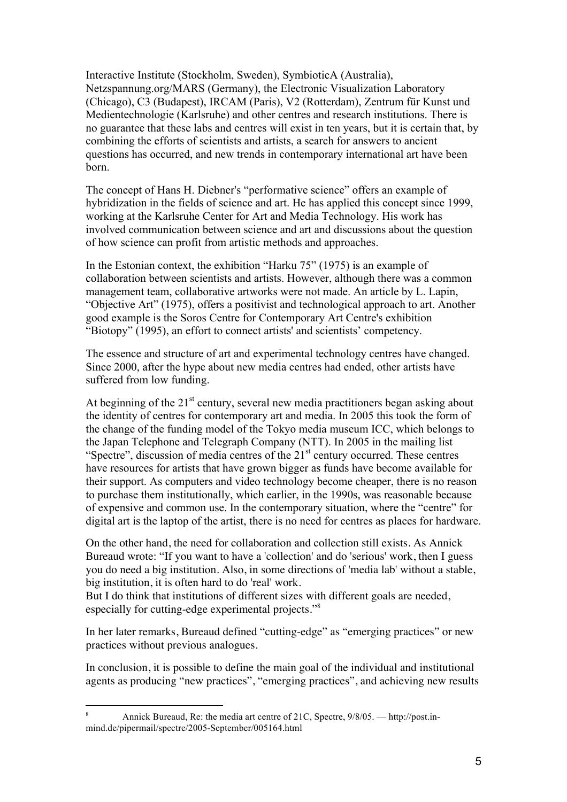Interactive Institute (Stockholm, Sweden), SymbioticA (Australia), Netzspannung.org/MARS (Germany), the Electronic Visualization Laboratory (Chicago), C3 (Budapest), IRCAM (Paris), V2 (Rotterdam), Zentrum für Kunst und Medientechnologie (Karlsruhe) and other centres and research institutions. There is no guarantee that these labs and centres will exist in ten years, but it is certain that, by combining the efforts of scientists and artists, a search for answers to ancient questions has occurred, and new trends in contemporary international art have been born.

The concept of Hans H. Diebner's "performative science" offers an example of hybridization in the fields of science and art. He has applied this concept since 1999, working at the Karlsruhe Center for Art and Media Technology. His work has involved communication between science and art and discussions about the question of how science can profit from artistic methods and approaches.

In the Estonian context, the exhibition "Harku 75" (1975) is an example of collaboration between scientists and artists. However, although there was a common management team, collaborative artworks were not made. An article by L. Lapin, "Objective Art" (1975), offers a positivist and technological approach to art. Another good example is the Soros Centre for Contemporary Art Centre's exhibition "Biotopy" (1995), an effort to connect artists' and scientists' competency.

The essence and structure of art and experimental technology centres have changed. Since 2000, after the hype about new media centres had ended, other artists have suffered from low funding.

At beginning of the  $21<sup>st</sup>$  century, several new media practitioners began asking about the identity of centres for contemporary art and media. In 2005 this took the form of the change of the funding model of the Tokyo media museum ICC, which belongs to the Japan Telephone and Telegraph Company (NTT). In 2005 in the mailing list "Spectre", discussion of media centres of the 21<sup>st</sup> century occurred. These centres have resources for artists that have grown bigger as funds have become available for their support. As computers and video technology become cheaper, there is no reason to purchase them institutionally, which earlier, in the 1990s, was reasonable because of expensive and common use. In the contemporary situation, where the "centre" for digital art is the laptop of the artist, there is no need for centres as places for hardware.

On the other hand, the need for collaboration and collection still exists. As Annick Bureaud wrote: "If you want to have a 'collection' and do 'serious' work, then I guess you do need a big institution. Also, in some directions of 'media lab' without a stable, big institution, it is often hard to do 'real' work.

But I do think that institutions of different sizes with different goals are needed, especially for cutting-edge experimental projects."8

In her later remarks, Bureaud defined "cutting-edge" as "emerging practices" or new practices without previous analogues.

In conclusion, it is possible to define the main goal of the individual and institutional agents as producing "new practices", "emerging practices", and achieving new results

 $\overline{8}$ <sup>8</sup> Annick Bureaud, Re: the media art centre of 21C, Spectre, 9/8/05. — http://post.inmind.de/pipermail/spectre/2005-September/005164.html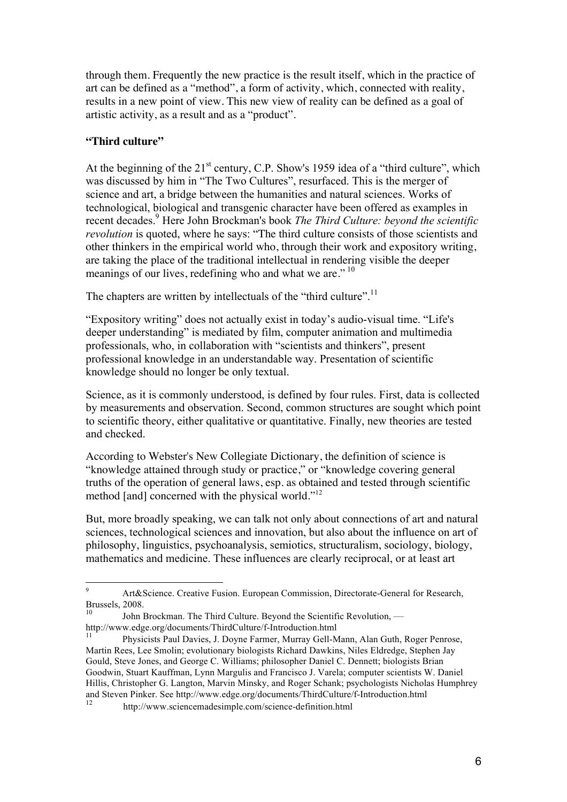through them. Frequently the new practice is the result itself, which in the practice of art can be defined as a "method", a form of activity, which, connected with reality, results in a new point of view. This new view of reality can be defined as a goal of artistic activity, as a result and as a "product".

## **"Third culture"**

At the beginning of the  $21<sup>st</sup>$  century, C.P. Show's 1959 idea of a "third culture", which was discussed by him in "The Two Cultures", resurfaced. This is the merger of science and art, a bridge between the humanities and natural sciences. Works of technological, biological and transgenic character have been offered as examples in recent decades.9 Here John Brockman's book *The Third Culture: beyond the scientific revolution* is quoted, where he says: "The third culture consists of those scientists and other thinkers in the empirical world who, through their work and expository writing, are taking the place of the traditional intellectual in rendering visible the deeper meanings of our lives, redefining who and what we are."<sup>10</sup>

The chapters are written by intellectuals of the "third culture".<sup>11</sup>

"Expository writing" does not actually exist in today's audio-visual time. "Life's deeper understanding" is mediated by film, computer animation and multimedia professionals, who, in collaboration with "scientists and thinkers", present professional knowledge in an understandable way. Presentation of scientific knowledge should no longer be only textual.

Science, as it is commonly understood, is defined by four rules. First, data is collected by measurements and observation. Second, common structures are sought which point to scientific theory, either qualitative or quantitative. Finally, new theories are tested and checked.

According to Webster's New Collegiate Dictionary, the definition of science is "knowledge attained through study or practice," or "knowledge covering general truths of the operation of general laws, esp. as obtained and tested through scientific method [and] concerned with the physical world."<sup>12</sup>

But, more broadly speaking, we can talk not only about connections of art and natural sciences, technological sciences and innovation, but also about the influence on art of philosophy, linguistics, psychoanalysis, semiotics, structuralism, sociology, biology, mathematics and medicine. These influences are clearly reciprocal, or at least art

<sup>9</sup> Art&Science. Creative Fusion. European Commission, Directorate-General for Research, Brussels, 2008.

<sup>10</sup> John Brockman. The Third Culture. Beyond the Scientific Revolution, http://www.edge.org/documents/ThirdCulture/f-Introduction.html

<sup>11</sup> Physicists Paul Davies, J. Doyne Farmer, Murray Gell-Mann, Alan Guth, Roger Penrose, Martin Rees, Lee Smolin; evolutionary biologists Richard Dawkins, Niles Eldredge, Stephen Jay Gould, Steve Jones, and George C. Williams; philosopher Daniel C. Dennett; biologists Brian Goodwin, Stuart Kauffman, Lynn Margulis and Francisco J. Varela; computer scientists W. Daniel Hillis, Christopher G. Langton, Marvin Minsky, and Roger Schank; psychologists Nicholas Humphrey and Steven Pinker. See http://www.edge.org/documents/ThirdCulture/f-Introduction.html

http://www.sciencemadesimple.com/science-definition.html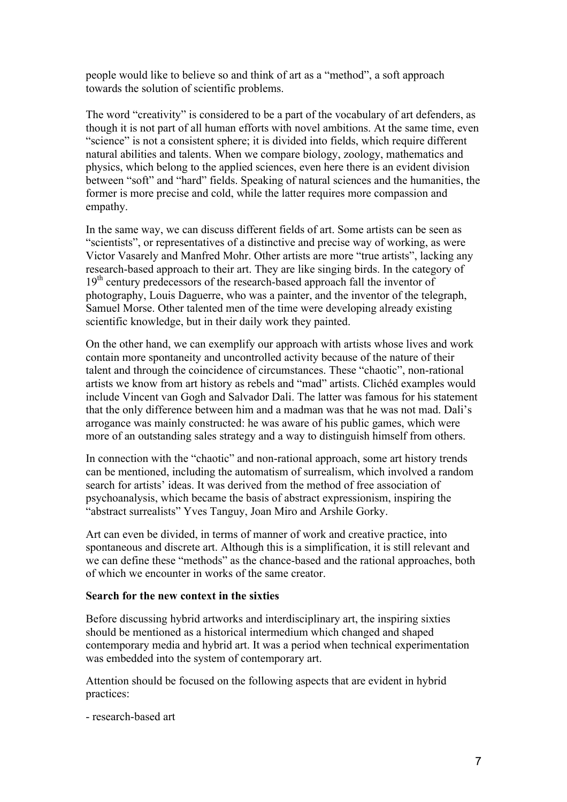people would like to believe so and think of art as a "method", a soft approach towards the solution of scientific problems.

The word "creativity" is considered to be a part of the vocabulary of art defenders, as though it is not part of all human efforts with novel ambitions. At the same time, even "science" is not a consistent sphere; it is divided into fields, which require different natural abilities and talents. When we compare biology, zoology, mathematics and physics, which belong to the applied sciences, even here there is an evident division between "soft" and "hard" fields. Speaking of natural sciences and the humanities, the former is more precise and cold, while the latter requires more compassion and empathy.

In the same way, we can discuss different fields of art. Some artists can be seen as "scientists", or representatives of a distinctive and precise way of working, as were Victor Vasarely and Manfred Mohr. Other artists are more "true artists", lacking any research-based approach to their art. They are like singing birds. In the category of 19<sup>th</sup> century predecessors of the research-based approach fall the inventor of photography, Louis Daguerre, who was a painter, and the inventor of the telegraph, Samuel Morse. Other talented men of the time were developing already existing scientific knowledge, but in their daily work they painted.

On the other hand, we can exemplify our approach with artists whose lives and work contain more spontaneity and uncontrolled activity because of the nature of their talent and through the coincidence of circumstances. These "chaotic", non-rational artists we know from art history as rebels and "mad" artists. Clichéd examples would include Vincent van Gogh and Salvador Dali. The latter was famous for his statement that the only difference between him and a madman was that he was not mad. Dali's arrogance was mainly constructed: he was aware of his public games, which were more of an outstanding sales strategy and a way to distinguish himself from others.

In connection with the "chaotic" and non-rational approach, some art history trends can be mentioned, including the automatism of surrealism, which involved a random search for artists' ideas. It was derived from the method of free association of psychoanalysis, which became the basis of abstract expressionism, inspiring the "abstract surrealists" Yves Tanguy, Joan Miro and Arshile Gorky.

Art can even be divided, in terms of manner of work and creative practice, into spontaneous and discrete art. Although this is a simplification, it is still relevant and we can define these "methods" as the chance-based and the rational approaches, both of which we encounter in works of the same creator.

### **Search for the new context in the sixties**

Before discussing hybrid artworks and interdisciplinary art, the inspiring sixties should be mentioned as a historical intermedium which changed and shaped contemporary media and hybrid art. It was a period when technical experimentation was embedded into the system of contemporary art.

Attention should be focused on the following aspects that are evident in hybrid practices:

- research-based art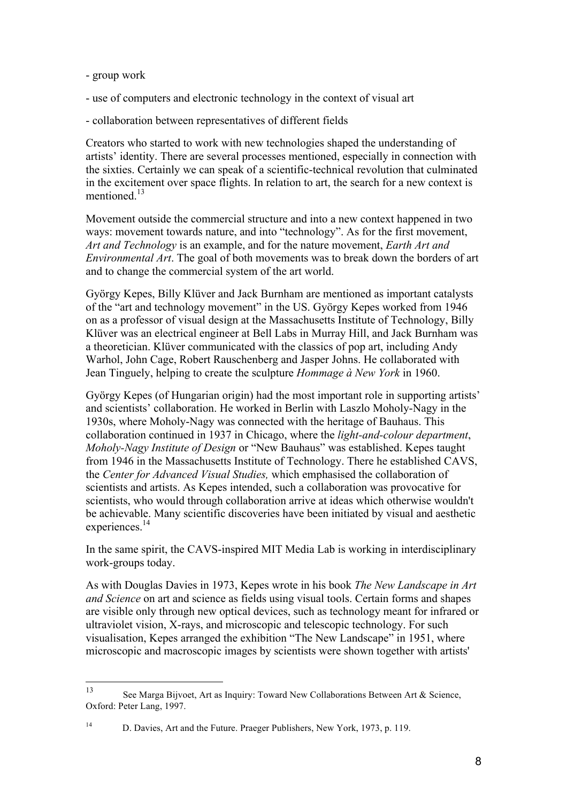- group work
- use of computers and electronic technology in the context of visual art
- collaboration between representatives of different fields

Creators who started to work with new technologies shaped the understanding of artists' identity. There are several processes mentioned, especially in connection with the sixties. Certainly we can speak of a scientific-technical revolution that culminated in the excitement over space flights. In relation to art, the search for a new context is mentioned<sup>13</sup>

Movement outside the commercial structure and into a new context happened in two ways: movement towards nature, and into "technology". As for the first movement, *Art and Technology* is an example, and for the nature movement, *Earth Art and Environmental Art*. The goal of both movements was to break down the borders of art and to change the commercial system of the art world.

György Kepes, Billy Klüver and Jack Burnham are mentioned as important catalysts of the "art and technology movement" in the US. György Kepes worked from 1946 on as a professor of visual design at the Massachusetts Institute of Technology, Billy Klüver was an electrical engineer at Bell Labs in Murray Hill, and Jack Burnham was a theoretician. Klüver communicated with the classics of pop art, including Andy Warhol, John Cage, Robert Rauschenberg and Jasper Johns. He collaborated with Jean Tinguely, helping to create the sculpture *Hommage à New York* in 1960.

György Kepes (of Hungarian origin) had the most important role in supporting artists' and scientists' collaboration. He worked in Berlin with Laszlo Moholy-Nagy in the 1930s, where Moholy-Nagy was connected with the heritage of Bauhaus. This collaboration continued in 1937 in Chicago, where the *light-and-colour department*, *Moholy-Nagy Institute of Design* or "New Bauhaus" was established. Kepes taught from 1946 in the Massachusetts Institute of Technology. There he established CAVS, the *Center for Advanced Visual Studies,* which emphasised the collaboration of scientists and artists. As Kepes intended, such a collaboration was provocative for scientists, who would through collaboration arrive at ideas which otherwise wouldn't be achievable. Many scientific discoveries have been initiated by visual and aesthetic experiences.<sup>14</sup>

In the same spirit, the CAVS-inspired MIT Media Lab is working in interdisciplinary work-groups today.

As with Douglas Davies in 1973, Kepes wrote in his book *The New Landscape in Art and Science* on art and science as fields using visual tools. Certain forms and shapes are visible only through new optical devices, such as technology meant for infrared or ultraviolet vision, X-rays, and microscopic and telescopic technology. For such visualisation, Kepes arranged the exhibition "The New Landscape" in 1951, where microscopic and macroscopic images by scientists were shown together with artists'

<sup>13</sup> See Marga Bijvoet, Art as Inquiry: Toward New Collaborations Between Art & Science, Oxford: Peter Lang, 1997.

<sup>&</sup>lt;sup>14</sup> D. Davies, Art and the Future. Praeger Publishers, New York, 1973, p. 119.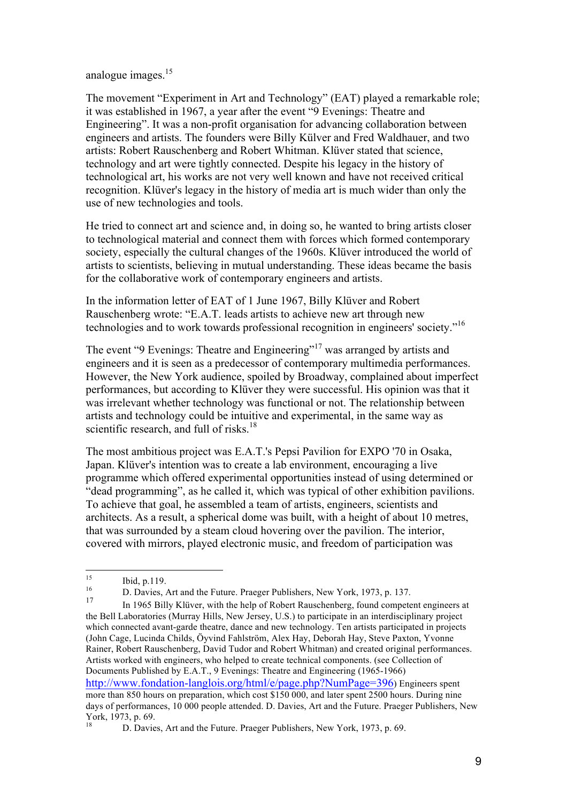analogue images.15

The movement "Experiment in Art and Technology" (EAT) played a remarkable role; it was established in 1967, a year after the event "9 Evenings: Theatre and Engineering". It was a non-profit organisation for advancing collaboration between engineers and artists. The founders were Billy Külver and Fred Waldhauer, and two artists: Robert Rauschenberg and Robert Whitman. Klüver stated that science, technology and art were tightly connected. Despite his legacy in the history of technological art, his works are not very well known and have not received critical recognition. Klüver's legacy in the history of media art is much wider than only the use of new technologies and tools.

He tried to connect art and science and, in doing so, he wanted to bring artists closer to technological material and connect them with forces which formed contemporary society, especially the cultural changes of the 1960s. Klüver introduced the world of artists to scientists, believing in mutual understanding. These ideas became the basis for the collaborative work of contemporary engineers and artists.

In the information letter of EAT of 1 June 1967, Billy Klüver and Robert Rauschenberg wrote: "E.A.T. leads artists to achieve new art through new technologies and to work towards professional recognition in engineers' society."16

The event "9 Evenings: Theatre and Engineering"<sup>17</sup> was arranged by artists and engineers and it is seen as a predecessor of contemporary multimedia performances. However, the New York audience, spoiled by Broadway, complained about imperfect performances, but according to Klüver they were successful. His opinion was that it was irrelevant whether technology was functional or not. The relationship between artists and technology could be intuitive and experimental, in the same way as scientific research, and full of risks. $18$ 

The most ambitious project was E.A.T.'s Pepsi Pavilion for EXPO '70 in Osaka, Japan. Klüver's intention was to create a lab environment, encouraging a live programme which offered experimental opportunities instead of using determined or "dead programming", as he called it, which was typical of other exhibition pavilions. To achieve that goal, he assembled a team of artists, engineers, scientists and architects. As a result, a spherical dome was built, with a height of about 10 metres, that was surrounded by a steam cloud hovering over the pavilion. The interior, covered with mirrors, played electronic music, and freedom of participation was

<sup>15</sup> Ibid, p.119. <sup>16</sup> D. Davies, Art and the Future. Praeger Publishers, New York, 1973, p. 137.

<sup>17</sup> In 1965 Billy Klüver, with the help of Robert Rauschenberg, found competent engineers at the Bell Laboratories (Murray Hills, New Jersey, U.S.) to participate in an interdisciplinary project which connected avant-garde theatre, dance and new technology. Ten artists participated in projects (John Cage, Lucinda Childs, Öyvind Fahlström, Alex Hay, Deborah Hay, Steve Paxton, Yvonne Rainer, Robert Rauschenberg, David Tudor and Robert Whitman) and created original performances. Artists worked with engineers, who helped to create technical components. (see Collection of Documents Published by E.A.T., 9 Evenings: Theatre and Engineering (1965-1966) http://www.fondation-langlois.org/html/e/page.php?NumPage=396) Engineers spent more than 850 hours on preparation, which cost \$150 000, and later spent 2500 hours. During nine days of performances, 10 000 people attended. D. Davies, Art and the Future. Praeger Publishers, New York, 1973, p. 69.

D. Davies, Art and the Future. Praeger Publishers, New York, 1973, p. 69.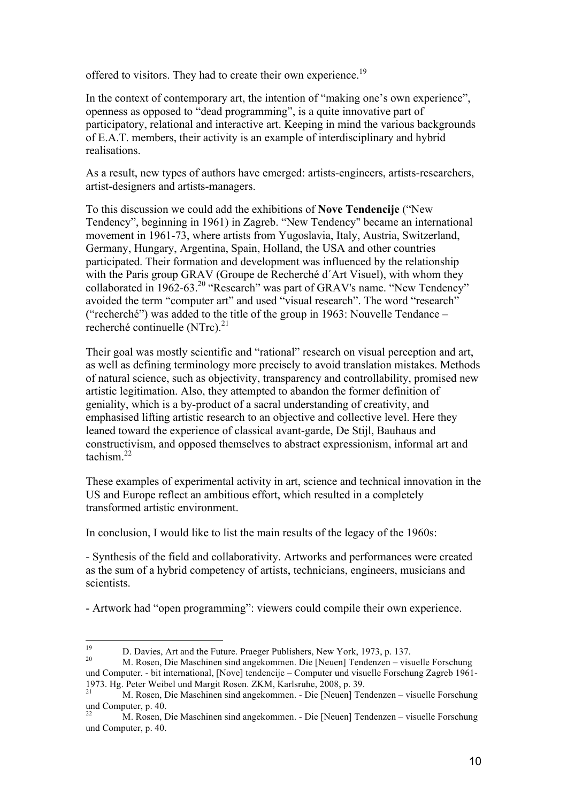offered to visitors. They had to create their own experience.<sup>19</sup>

In the context of contemporary art, the intention of "making one's own experience", openness as opposed to "dead programming", is a quite innovative part of participatory, relational and interactive art. Keeping in mind the various backgrounds of E.A.T. members, their activity is an example of interdisciplinary and hybrid realisations.

As a result, new types of authors have emerged: artists-engineers, artists-researchers, artist-designers and artists-managers.

To this discussion we could add the exhibitions of **Nove Tendencije** ("New Tendency", beginning in 1961) in Zagreb. "New Tendency" became an international movement in 1961-73, where artists from Yugoslavia, Italy, Austria, Switzerland, Germany, Hungary, Argentina, Spain, Holland, the USA and other countries participated. Their formation and development was influenced by the relationship with the Paris group GRAV (Groupe de Recherché d´Art Visuel), with whom they collaborated in 1962-63.<sup>20</sup> "Research" was part of GRAV's name. "New Tendency" avoided the term "computer art" and used "visual research". The word "research" ("recherché") was added to the title of the group in 1963: Nouvelle Tendance – recherché continuelle (NTrc). $^{21}$ 

Their goal was mostly scientific and "rational" research on visual perception and art, as well as defining terminology more precisely to avoid translation mistakes. Methods of natural science, such as objectivity, transparency and controllability, promised new artistic legitimation. Also, they attempted to abandon the former definition of geniality, which is a by-product of a sacral understanding of creativity, and emphasised lifting artistic research to an objective and collective level. Here they leaned toward the experience of classical avant-garde, De Stijl, Bauhaus and constructivism, and opposed themselves to abstract expressionism, informal art and tachism $^{22}$ 

These examples of experimental activity in art, science and technical innovation in the US and Europe reflect an ambitious effort, which resulted in a completely transformed artistic environment.

In conclusion, I would like to list the main results of the legacy of the 1960s:

- Synthesis of the field and collaborativity. Artworks and performances were created as the sum of a hybrid competency of artists, technicians, engineers, musicians and scientists.

- Artwork had "open programming": viewers could compile their own experience.

<sup>19</sup> D. Davies, Art and the Future. Praeger Publishers, New York, 1973, p. 137.<br>20 M. Rosen, Die Maschinen sind angekommen. Die [Neuen] Tendenzen – visuelle Forschung und Computer. - bit international, [Nove] tendencije – Computer und visuelle Forschung Zagreb 1961- 1973. Hg. Peter Weibel und Margit Rosen. ZKM, Karlsruhe, 2008, p. 39.

<sup>21</sup> M. Rosen, Die Maschinen sind angekommen. - Die [Neuen] Tendenzen – visuelle Forschung  $\frac{1}{22}$ und Computer, p. 40.

<sup>22</sup> M. Rosen, Die Maschinen sind angekommen. - Die [Neuen] Tendenzen – visuelle Forschung und Computer, p. 40.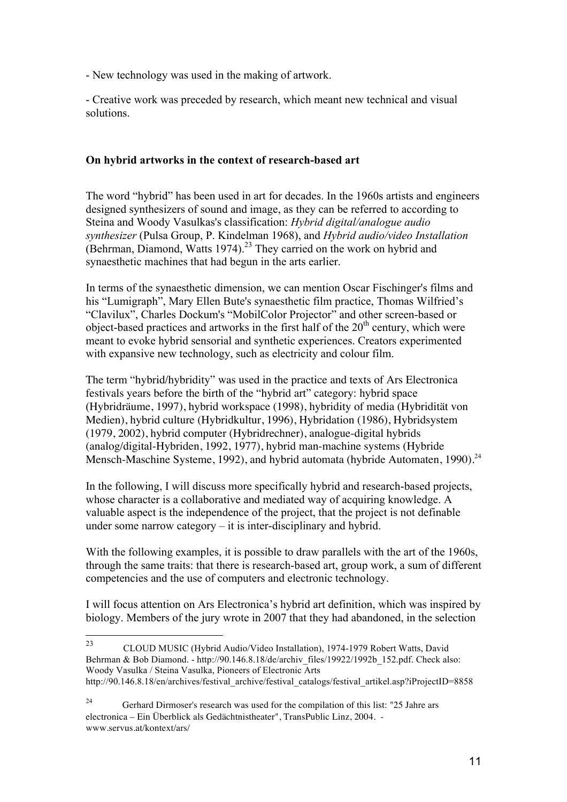- New technology was used in the making of artwork.

- Creative work was preceded by research, which meant new technical and visual solutions.

### **On hybrid artworks in the context of research-based art**

The word "hybrid" has been used in art for decades. In the 1960s artists and engineers designed synthesizers of sound and image, as they can be referred to according to Steina and Woody Vasulkas's classification: *Hybrid digital/analogue audio synthesizer* (Pulsa Group, P. Kindelman 1968), and *Hybrid audio/video Installation* (Behrman, Diamond, Watts 1974).<sup>23</sup> They carried on the work on hybrid and synaesthetic machines that had begun in the arts earlier.

In terms of the synaesthetic dimension, we can mention Oscar Fischinger's films and his "Lumigraph", Mary Ellen Bute's synaesthetic film practice, Thomas Wilfried's "Clavilux", Charles Dockum's "MobilColor Projector" and other screen-based or object-based practices and artworks in the first half of the  $20<sup>th</sup>$  century, which were meant to evoke hybrid sensorial and synthetic experiences. Creators experimented with expansive new technology, such as electricity and colour film.

The term "hybrid/hybridity" was used in the practice and texts of Ars Electronica festivals years before the birth of the "hybrid art" category: hybrid space (Hybridräume, 1997), hybrid workspace (1998), hybridity of media (Hybridität von Medien), hybrid culture (Hybridkultur, 1996), Hybridation (1986), Hybridsystem (1979, 2002), hybrid computer (Hybridrechner), analogue-digital hybrids (analog/digital-Hybriden, 1992, 1977), hybrid man-machine systems (Hybride Mensch-Maschine Systeme, 1992), and hybrid automata (hybride Automaten, 1990).<sup>24</sup>

In the following, I will discuss more specifically hybrid and research-based projects, whose character is a collaborative and mediated way of acquiring knowledge. A valuable aspect is the independence of the project, that the project is not definable under some narrow category  $-$  it is inter-disciplinary and hybrid.

With the following examples, it is possible to draw parallels with the art of the 1960s, through the same traits: that there is research-based art, group work, a sum of different competencies and the use of computers and electronic technology.

I will focus attention on Ars Electronica's hybrid art definition, which was inspired by biology. Members of the jury wrote in 2007 that they had abandoned, in the selection

<sup>23</sup> CLOUD MUSIC (Hybrid Audio/Video Installation), 1974-1979 Robert Watts, David Behrman & Bob Diamond. - http://90.146.8.18/de/archiv\_files/19922/1992b\_152.pdf. Check also: Woody Vasulka / Steina Vasulka, Pioneers of Electronic Arts http://90.146.8.18/en/archives/festival\_archive/festival\_catalogs/festival\_artikel.asp?iProjectID=8858

<sup>&</sup>lt;sup>24</sup> Gerhard Dirmoser's research was used for the compilation of this list: "25 Jahre ars electronica – Ein Überblick als Gedächtnistheater", TransPublic Linz, 2004. www.servus.at/kontext/ars/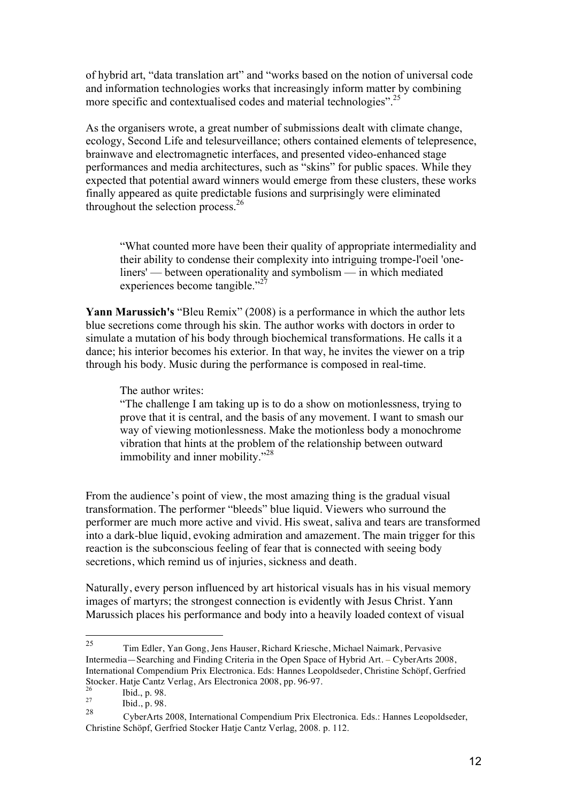of hybrid art, "data translation art" and "works based on the notion of universal code and information technologies works that increasingly inform matter by combining more specific and contextualised codes and material technologies".<sup>25</sup>

As the organisers wrote, a great number of submissions dealt with climate change, ecology, Second Life and telesurveillance; others contained elements of telepresence, brainwave and electromagnetic interfaces, and presented video-enhanced stage performances and media architectures, such as "skins" for public spaces. While they expected that potential award winners would emerge from these clusters, these works finally appeared as quite predictable fusions and surprisingly were eliminated throughout the selection process. $26$ 

"What counted more have been their quality of appropriate intermediality and their ability to condense their complexity into intriguing trompe-l'oeil 'oneliners' — between operationality and symbolism — in which mediated experiences become tangible."<sup>27</sup>

**Yann Marussich's** "Bleu Remix" (2008) is a performance in which the author lets blue secretions come through his skin. The author works with doctors in order to simulate a mutation of his body through biochemical transformations. He calls it a dance; his interior becomes his exterior. In that way, he invites the viewer on a trip through his body. Music during the performance is composed in real-time.

The author writes:

"The challenge I am taking up is to do a show on motionlessness, trying to prove that it is central, and the basis of any movement. I want to smash our way of viewing motionlessness. Make the motionless body a monochrome vibration that hints at the problem of the relationship between outward immobility and inner mobility."<sup>28</sup>

From the audience's point of view, the most amazing thing is the gradual visual transformation. The performer "bleeds" blue liquid. Viewers who surround the performer are much more active and vivid. His sweat, saliva and tears are transformed into a dark-blue liquid, evoking admiration and amazement. The main trigger for this reaction is the subconscious feeling of fear that is connected with seeing body secretions, which remind us of injuries, sickness and death.

Naturally, every person influenced by art historical visuals has in his visual memory images of martyrs; the strongest connection is evidently with Jesus Christ. Yann Marussich places his performance and body into a heavily loaded context of visual

<sup>25</sup> Tim Edler, Yan Gong, Jens Hauser, Richard Kriesche, Michael Naimark, Pervasive Intermedia—Searching and Finding Criteria in the Open Space of Hybrid Art. – CyberArts 2008, International Compendium Prix Electronica. Eds: Hannes Leopoldseder, Christine Schöpf, Gerfried Stocker. Hatje Cantz Verlag, Ars Electronica 2008, pp. 96-97.<br>
<sup>26</sup> Ibid., p. 98.<br>
<sup>27</sup> Ibid., a. 08

 $\frac{27}{28}$  Ibid., p. 98.

<sup>28</sup> CyberArts 2008, International Compendium Prix Electronica. Eds.: Hannes Leopoldseder, Christine Schöpf, Gerfried Stocker Hatje Cantz Verlag, 2008. p. 112.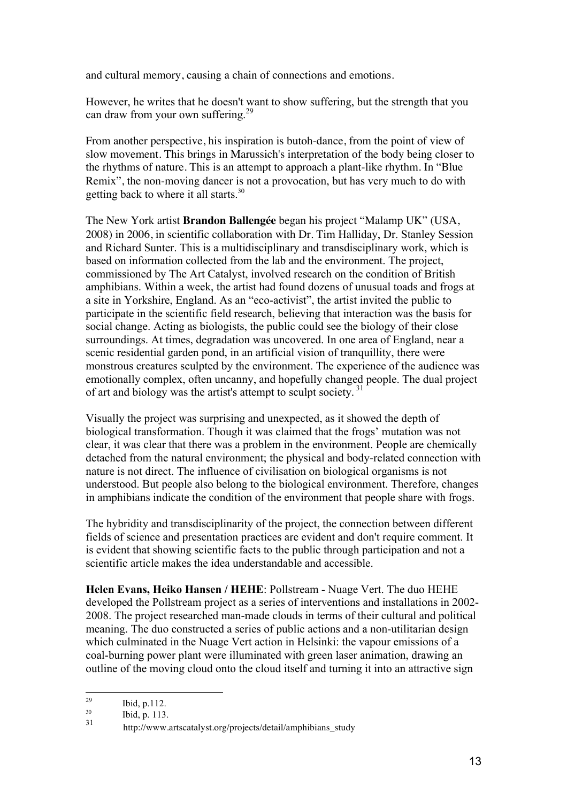and cultural memory, causing a chain of connections and emotions.

However, he writes that he doesn't want to show suffering, but the strength that you can draw from your own suffering.<sup>29</sup>

From another perspective, his inspiration is butoh-dance, from the point of view of slow movement. This brings in Marussich's interpretation of the body being closer to the rhythms of nature. This is an attempt to approach a plant-like rhythm. In "Blue Remix", the non-moving dancer is not a provocation, but has very much to do with getting back to where it all starts.<sup>30</sup>

The New York artist **Brandon Ballengée** began his project "Malamp UK" (USA, 2008) in 2006, in scientific collaboration with Dr. Tim Halliday, Dr. Stanley Session and Richard Sunter. This is a multidisciplinary and transdisciplinary work, which is based on information collected from the lab and the environment. The project, commissioned by The Art Catalyst, involved research on the condition of British amphibians. Within a week, the artist had found dozens of unusual toads and frogs at a site in Yorkshire, England. As an "eco-activist", the artist invited the public to participate in the scientific field research, believing that interaction was the basis for social change. Acting as biologists, the public could see the biology of their close surroundings. At times, degradation was uncovered. In one area of England, near a scenic residential garden pond, in an artificial vision of tranquillity, there were monstrous creatures sculpted by the environment. The experience of the audience was emotionally complex, often uncanny, and hopefully changed people. The dual project of art and biology was the artist's attempt to sculpt society. <sup>31</sup>

Visually the project was surprising and unexpected, as it showed the depth of biological transformation. Though it was claimed that the frogs' mutation was not clear, it was clear that there was a problem in the environment. People are chemically detached from the natural environment; the physical and body-related connection with nature is not direct. The influence of civilisation on biological organisms is not understood. But people also belong to the biological environment. Therefore, changes in amphibians indicate the condition of the environment that people share with frogs.

The hybridity and transdisciplinarity of the project, the connection between different fields of science and presentation practices are evident and don't require comment. It is evident that showing scientific facts to the public through participation and not a scientific article makes the idea understandable and accessible.

**Helen Evans, Heiko Hansen / HEHE**: Pollstream - Nuage Vert. The duo HEHE developed the Pollstream project as a series of interventions and installations in 2002- 2008. The project researched man-made clouds in terms of their cultural and political meaning. The duo constructed a series of public actions and a non-utilitarian design which culminated in the Nuage Vert action in Helsinki: the vapour emissions of a coal-burning power plant were illuminated with green laser animation, drawing an outline of the moving cloud onto the cloud itself and turning it into an attractive sign

 $\frac{29}{30}$  Ibid, p.112.

 $\frac{30}{31}$  Ibid, p. 113.

http://www.artscatalyst.org/projects/detail/amphibians\_study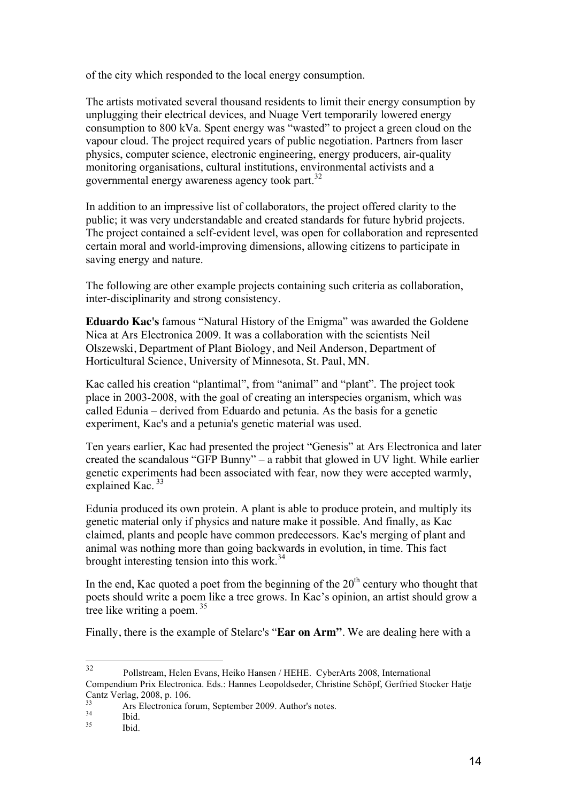of the city which responded to the local energy consumption.

The artists motivated several thousand residents to limit their energy consumption by unplugging their electrical devices, and Nuage Vert temporarily lowered energy consumption to 800 kVa. Spent energy was "wasted" to project a green cloud on the vapour cloud. The project required years of public negotiation. Partners from laser physics, computer science, electronic engineering, energy producers, air-quality monitoring organisations, cultural institutions, environmental activists and a governmental energy awareness agency took part.<sup>32</sup>

In addition to an impressive list of collaborators, the project offered clarity to the public; it was very understandable and created standards for future hybrid projects. The project contained a self-evident level, was open for collaboration and represented certain moral and world-improving dimensions, allowing citizens to participate in saving energy and nature.

The following are other example projects containing such criteria as collaboration, inter-disciplinarity and strong consistency.

**Eduardo Kac's** famous "Natural History of the Enigma" was awarded the Goldene Nica at Ars Electronica 2009. It was a collaboration with the scientists Neil Olszewski, Department of Plant Biology, and Neil Anderson, Department of Horticultural Science, University of Minnesota, St. Paul, MN.

Kac called his creation "plantimal", from "animal" and "plant". The project took place in 2003-2008, with the goal of creating an interspecies organism, which was called Edunia – derived from Eduardo and petunia. As the basis for a genetic experiment, Kac's and a petunia's genetic material was used.

Ten years earlier, Kac had presented the project "Genesis" at Ars Electronica and later created the scandalous "GFP Bunny" – a rabbit that glowed in UV light. While earlier genetic experiments had been associated with fear, now they were accepted warmly, explained Kac.<sup>33</sup>

Edunia produced its own protein. A plant is able to produce protein, and multiply its genetic material only if physics and nature make it possible. And finally, as Kac claimed, plants and people have common predecessors. Kac's merging of plant and animal was nothing more than going backwards in evolution, in time. This fact brought interesting tension into this work.<sup>34</sup>

In the end, Kac quoted a poet from the beginning of the  $20<sup>th</sup>$  century who thought that poets should write a poem like a tree grows. In Kac's opinion, an artist should grow a tree like writing a poem.<sup>35</sup>

Finally, there is the example of Stelarc's "**Ear on Arm"**. We are dealing here with a

<sup>32</sup> Pollstream, Helen Evans, Heiko Hansen / HEHE. CyberArts 2008, International Compendium Prix Electronica. Eds.: Hannes Leopoldseder, Christine Schöpf, Gerfried Stocker Hatje Cantz Verlag, 2008, p. 106.

<sup>33</sup> Ars Electronica forum, September 2009. Author's notes.<br>
35 Ibid. 35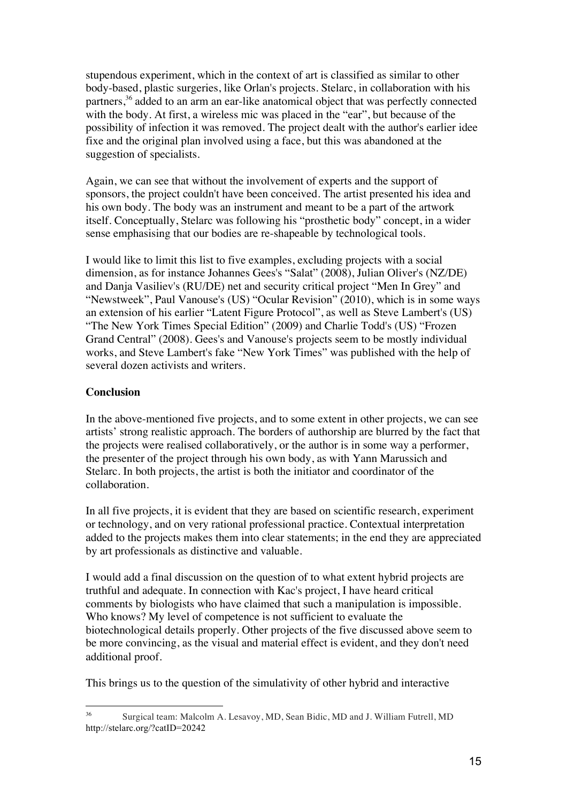stupendous experiment, which in the context of art is classified as similar to other body-based, plastic surgeries, like Orlan's projects. Stelarc, in collaboration with his partners,<sup>36</sup> added to an arm an ear-like anatomical object that was perfectly connected with the body. At first, a wireless mic was placed in the "ear", but because of the possibility of infection it was removed. The project dealt with the author's earlier idee fixe and the original plan involved using a face, but this was abandoned at the suggestion of specialists.

Again, we can see that without the involvement of experts and the support of sponsors, the project couldn't have been conceived. The artist presented his idea and his own body. The body was an instrument and meant to be a part of the artwork itself. Conceptually, Stelarc was following his "prosthetic body" concept, in a wider sense emphasising that our bodies are re-shapeable by technological tools.

I would like to limit this list to five examples, excluding projects with a social dimension, as for instance Johannes Gees's "Salat" (2008), Julian Oliver's (NZ/DE) and Danja Vasiliev's (RU/DE) net and security critical project "Men In Grey" and "Newstweek", Paul Vanouse's (US) "Ocular Revision" (2010), which is in some ways an extension of his earlier "Latent Figure Protocol", as well as Steve Lambert's (US) "The New York Times Special Edition" (2009) and Charlie Todd's (US) "Frozen Grand Central" (2008). Gees's and Vanouse's projects seem to be mostly individual works, and Steve Lambert's fake "New York Times" was published with the help of several dozen activists and writers.

# **Conclusion**

In the above-mentioned five projects, and to some extent in other projects, we can see artists' strong realistic approach. The borders of authorship are blurred by the fact that the projects were realised collaboratively, or the author is in some way a performer, the presenter of the project through his own body, as with Yann Marussich and Stelarc. In both projects, the artist is both the initiator and coordinator of the collaboration.

In all five projects, it is evident that they are based on scientific research, experiment or technology, and on very rational professional practice. Contextual interpretation added to the projects makes them into clear statements; in the end they are appreciated by art professionals as distinctive and valuable.

I would add a final discussion on the question of to what extent hybrid projects are truthful and adequate. In connection with Kac's project, I have heard critical comments by biologists who have claimed that such a manipulation is impossible. Who knows? My level of competence is not sufficient to evaluate the biotechnological details properly. Other projects of the five discussed above seem to be more convincing, as the visual and material effect is evident, and they don't need additional proof.

This brings us to the question of the simulativity of other hybrid and interactive

 $36$ <sup>36</sup> Surgical team: Malcolm A. Lesavoy, MD, Sean Bidic, MD and J. William Futrell, MD http://stelarc.org/?catID=20242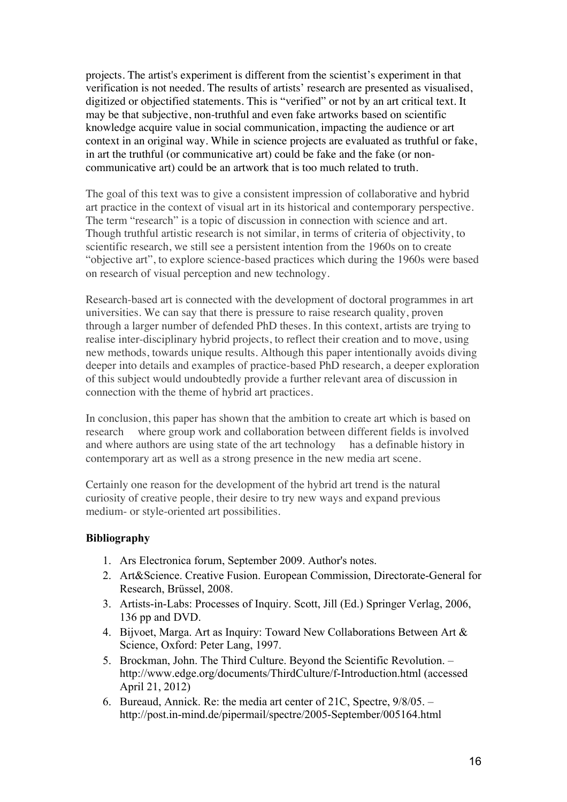projects. The artist's experiment is different from the scientist's experiment in that verification is not needed. The results of artists' research are presented as visualised, digitized or objectified statements. This is "verified" or not by an art critical text. It may be that subjective, non-truthful and even fake artworks based on scientific knowledge acquire value in social communication, impacting the audience or art context in an original way. While in science projects are evaluated as truthful or fake, in art the truthful (or communicative art) could be fake and the fake (or noncommunicative art) could be an artwork that is too much related to truth.

The goal of this text was to give a consistent impression of collaborative and hybrid art practice in the context of visual art in its historical and contemporary perspective. The term "research" is a topic of discussion in connection with science and art. Though truthful artistic research is not similar, in terms of criteria of objectivity, to scientific research, we still see a persistent intention from the 1960s on to create "objective art", to explore science-based practices which during the 1960s were based on research of visual perception and new technology.

Research-based art is connected with the development of doctoral programmes in art universities. We can say that there is pressure to raise research quality, proven through a larger number of defended PhD theses. In this context, artists are trying to realise inter-disciplinary hybrid projects, to reflect their creation and to move, using new methods, towards unique results. Although this paper intentionally avoids diving deeper into details and examples of practice-based PhD research, a deeper exploration of this subject would undoubtedly provide a further relevant area of discussion in connection with the theme of hybrid art practices.

In conclusion, this paper has shown that the ambition to create art which is based on research where group work and collaboration between different fields is involved and where authors are using state of the art technology has a definable history in contemporary art as well as a strong presence in the new media art scene.

Certainly one reason for the development of the hybrid art trend is the natural curiosity of creative people, their desire to try new ways and expand previous medium- or style-oriented art possibilities.

## **Bibliography**

- 1. Ars Electronica forum, September 2009. Author's notes.
- 2. Art&Science. Creative Fusion. European Commission, Directorate-General for Research, Brüssel, 2008.
- 3. Artists-in-Labs: Processes of Inquiry. Scott, Jill (Ed.) Springer Verlag, 2006, 136 pp and DVD.
- 4. Bijvoet, Marga. Art as Inquiry: Toward New Collaborations Between Art & Science, Oxford: Peter Lang, 1997.
- 5. Brockman, John. The Third Culture. Beyond the Scientific Revolution. http://www.edge.org/documents/ThirdCulture/f-Introduction.html (accessed April 21, 2012)
- 6. Bureaud, Annick. Re: the media art center of 21C, Spectre, 9/8/05. http://post.in-mind.de/pipermail/spectre/2005-September/005164.html